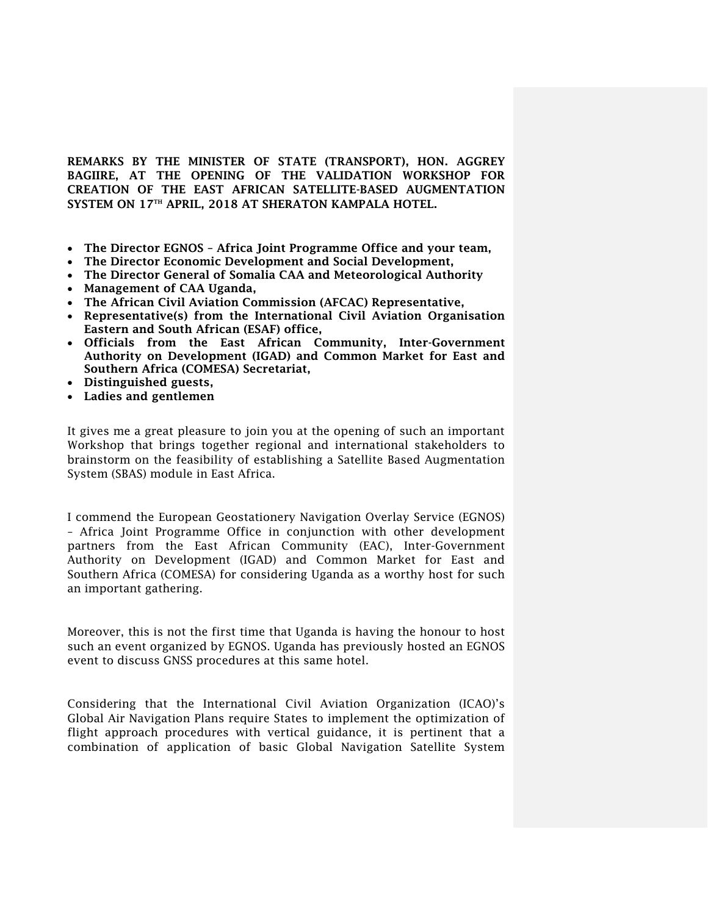**REMARKS BY THE MINISTER OF STATE (TRANSPORT), HON. AGGREY BAGIIRE, AT THE OPENING OF THE VALIDATION WORKSHOP FOR CREATION OF THE EAST AFRICAN SATELLITE-BASED AUGMENTATION SYSTEM ON 17TH APRIL, 2018 AT SHERATON KAMPALA HOTEL.**

- **The Director EGNOS – Africa Joint Programme Office and your team,**
- **The Director Economic Development and Social Development,**
- **The Director General of Somalia CAA and Meteorological Authority**
- **Management of CAA Uganda,**
- **The African Civil Aviation Commission (AFCAC) Representative,**
- **Representative(s) from the International Civil Aviation Organisation Eastern and South African (ESAF) office,**
- **Officials from the East African Community, Inter-Government Authority on Development (IGAD) and Common Market for East and Southern Africa (COMESA) Secretariat,**
- **Distinguished guests,**
- **Ladies and gentlemen**

It gives me a great pleasure to join you at the opening of such an important Workshop that brings together regional and international stakeholders to brainstorm on the feasibility of establishing a Satellite Based Augmentation System (SBAS) module in East Africa.

I commend the European Geostationery Navigation Overlay Service (EGNOS) – Africa Joint Programme Office in conjunction with other development partners from the East African Community (EAC), Inter-Government Authority on Development (IGAD) and Common Market for East and Southern Africa (COMESA) for considering Uganda as a worthy host for such an important gathering.

Moreover, this is not the first time that Uganda is having the honour to host such an event organized by EGNOS. Uganda has previously hosted an EGNOS event to discuss GNSS procedures at this same hotel.

Considering that the International Civil Aviation Organization (ICAO)'s Global Air Navigation Plans require States to implement the optimization of flight approach procedures with vertical guidance, it is pertinent that a combination of application of basic Global Navigation Satellite System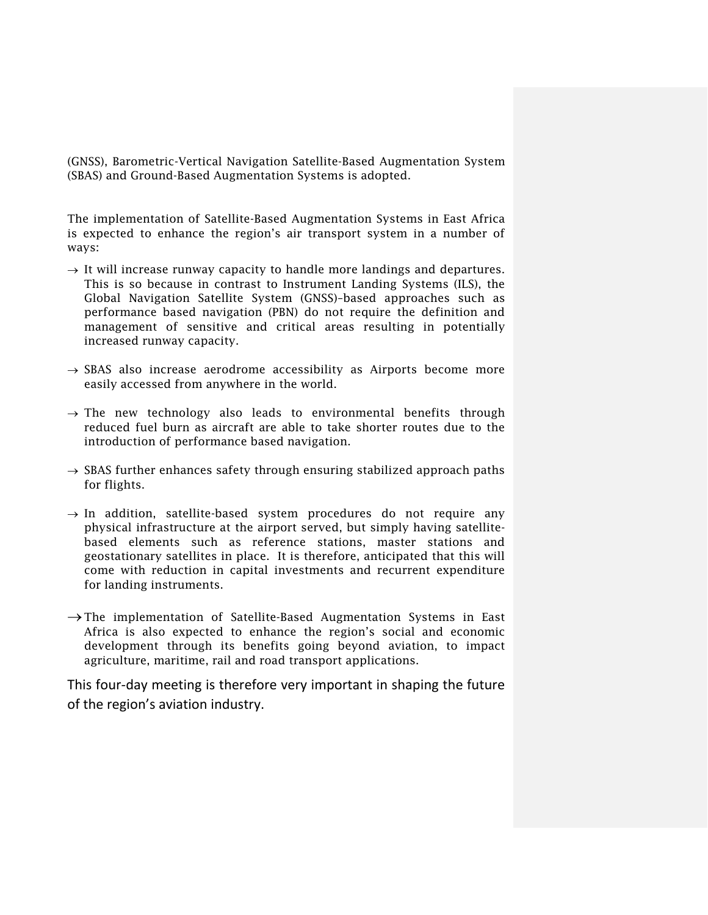(GNSS), Barometric-Vertical Navigation Satellite-Based Augmentation System (SBAS) and Ground-Based Augmentation Systems is adopted.

The implementation of Satellite-Based Augmentation Systems in East Africa is expected to enhance the region's air transport system in a number of ways:

- $\rightarrow$  It will increase runway capacity to handle more landings and departures. This is so because in contrast to Instrument Landing Systems (ILS), the Global Navigation Satellite System (GNSS)–based approaches such as performance based navigation (PBN) do not require the definition and management of sensitive and critical areas resulting in potentially increased runway capacity.
- $\rightarrow$  SBAS also increase aerodrome accessibility as Airports become more easily accessed from anywhere in the world.
- $\rightarrow$  The new technology also leads to environmental benefits through reduced fuel burn as aircraft are able to take shorter routes due to the introduction of performance based navigation.
- $\rightarrow$  SBAS further enhances safety through ensuring stabilized approach paths for flights.
- $\rightarrow$  In addition, satellite-based system procedures do not require any physical infrastructure at the airport served, but simply having satellitebased elements such as reference stations, master stations and geostationary satellites in place. It is therefore, anticipated that this will come with reduction in capital investments and recurrent expenditure for landing instruments.
- $\rightarrow$  The implementation of Satellite-Based Augmentation Systems in East Africa is also expected to enhance the region's social and economic development through its benefits going beyond aviation, to impact agriculture, maritime, rail and road transport applications.

This four-day meeting is therefore very important in shaping the future of the region's aviation industry.